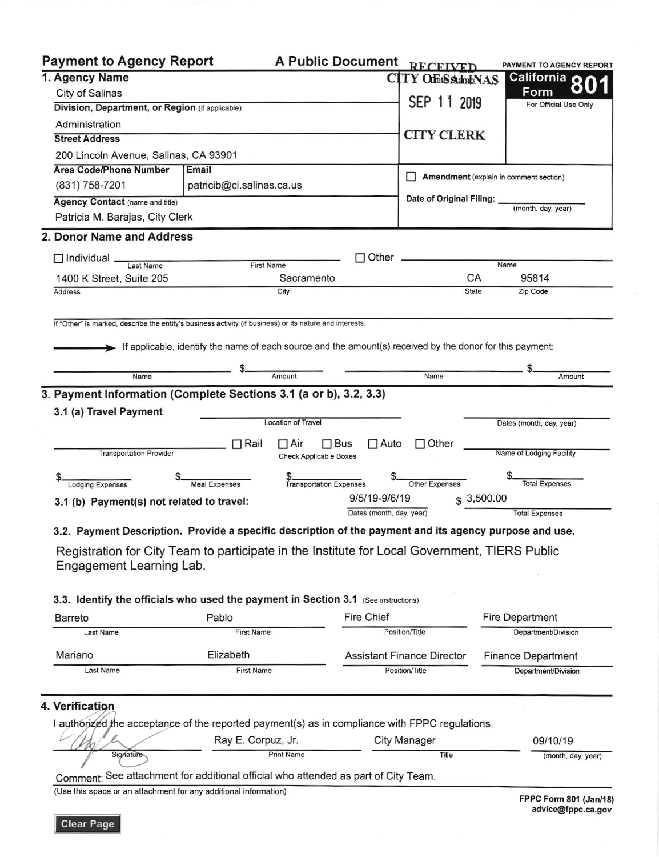| <b>Payment to Agency Report</b>                                                                                           |                                                                                                           | <b>A Public Document</b>                                  |                          | <b>RECEIVED</b>                        |              | PAYMENT TO AGENCY REPORT |
|---------------------------------------------------------------------------------------------------------------------------|-----------------------------------------------------------------------------------------------------------|-----------------------------------------------------------|--------------------------|----------------------------------------|--------------|--------------------------|
| 1. Agency Name                                                                                                            |                                                                                                           |                                                           |                          | <b>CITY OfatSstalmbNAS</b>             |              | California O             |
| City of Salinas                                                                                                           |                                                                                                           |                                                           | Form                     |                                        |              |                          |
| Division, Department, or Region (if applicable)                                                                           | SEP 11 2019                                                                                               |                                                           | For Official Use Only    |                                        |              |                          |
| Administration                                                                                                            |                                                                                                           |                                                           |                          |                                        |              |                          |
| <b>Street Address</b>                                                                                                     | <b>CITY CLERK</b>                                                                                         |                                                           |                          |                                        |              |                          |
| 200 Lincoln Avenue, Salinas, CA 93901                                                                                     |                                                                                                           |                                                           |                          |                                        |              |                          |
| <b>Area Code/Phone Number</b>                                                                                             | Email                                                                                                     |                                                           |                          |                                        |              |                          |
| (831) 758-7201                                                                                                            | patricib@ci.salinas.ca.us                                                                                 |                                                           |                          | Amendment (explain in comment section) |              |                          |
| Agency Contact (name and title)                                                                                           |                                                                                                           |                                                           |                          | Date of Original Filing:               |              |                          |
| Patricia M. Barajas, City Clerk                                                                                           |                                                                                                           |                                                           |                          |                                        |              | (month, day, year)       |
| 2. Donor Name and Address                                                                                                 |                                                                                                           |                                                           |                          |                                        |              |                          |
|                                                                                                                           |                                                                                                           |                                                           |                          |                                        |              |                          |
| $\Box$ Individual.<br>Last Name                                                                                           | <b>First Name</b>                                                                                         |                                                           | Other                    |                                        |              | Name                     |
| 1400 K Street, Suite 205                                                                                                  |                                                                                                           | Sacramento                                                |                          |                                        | CA           | 95814                    |
| <b>Address</b>                                                                                                            |                                                                                                           | City                                                      |                          |                                        | <b>State</b> | Zip Code                 |
| Name                                                                                                                      | If applicable, identify the name of each source and the amount(s) received by the donor for this payment: | Amount                                                    |                          | Name                                   |              | Amount                   |
|                                                                                                                           |                                                                                                           |                                                           |                          |                                        |              |                          |
| 3. Payment Information (Complete Sections 3.1 (a or b), 3.2, 3.3)<br>3.1 (a) Travel Payment                               |                                                                                                           | <b>Location of Travel</b>                                 |                          |                                        |              | Dates (month, day, year) |
| <b>Transportation Provider</b>                                                                                            | $\Box$ Rail                                                                                               | $\Box$ Air<br>$\Box$ Bus<br><b>Check Applicable Boxes</b> | $\Box$ Auto              | $\Box$ Other                           |              | Name of Lodging Facility |
| <b>Lodging Expenses</b>                                                                                                   | <b>Meal Expenses</b>                                                                                      | <b>Transportation Expenses</b>                            |                          | Other Expenses                         |              | <b>Total Expenses</b>    |
| 9/5/19-9/6/19<br>3.1 (b) Payment(s) not related to travel:                                                                |                                                                                                           |                                                           |                          | \$3,500.00                             |              |                          |
|                                                                                                                           |                                                                                                           |                                                           | Dates (month, day, year) |                                        |              | <b>Total Expenses</b>    |
| 3.2. Payment Description. Provide a specific description of the payment and its agency purpose and use.                   |                                                                                                           |                                                           |                          |                                        |              |                          |
| Registration for City Team to participate in the Institute for Local Government, TIERS Public<br>Engagement Learning Lab. |                                                                                                           |                                                           |                          |                                        |              |                          |

## 3.3. Identify the officials who used the payment in Section 3.1 (See instructions)

| Barreto   | Pablo             | Fire Chief                        | Fire Department           |  |
|-----------|-------------------|-----------------------------------|---------------------------|--|
| Last Name | <b>First Name</b> | Position/Title                    | Department/Division       |  |
| Mariano   | Elizabeth         | <b>Assistant Finance Director</b> | <b>Finance Department</b> |  |
| Last Name | <b>First Name</b> | Position/Title                    | Department/Division       |  |

## 4. Verification

I authorized the acceptance of the reported payment(s) as in compliance with FPPC regulations.

|                  | Ray E. Corpuz, Jr.                                                         | City Manager | 09/10/19           |
|------------------|----------------------------------------------------------------------------|--------------|--------------------|
| <b>Signature</b> | <b>Print Name</b>                                                          | Title        | (month, day, year) |
|                  | a case of the proportion of the problem of the standed as not of City Toom |              |                    |

Comment: See attachment for additional official who attended as part of City Team.

(Use this space or an attachment for any additional information)